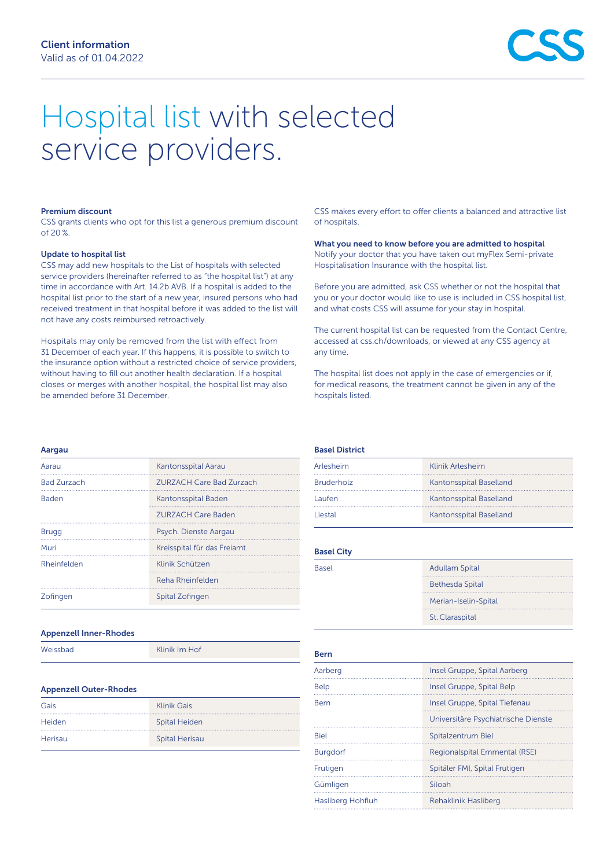# Hospital list with selected service providers.

#### Premium discount

CSS grants clients who opt for this list a generous premium discount of 20 %.

#### Update to hospital list

CSS may add new hospitals to the List of hospitals with selected service providers (hereinafter referred to as "the hospital list") at any time in accordance with Art. 14.2b AVB. If a hospital is added to the hospital list prior to the start of a new year, insured persons who had received treatment in that hospital before it was added to the list will not have any costs reimbursed retroactively.

Hospitals may only be removed from the list with effect from 31 December of each year. If this happens, it is possible to switch to the insurance option without a restricted choice of service providers, without having to fill out another health declaration. If a hospital closes or merges with another hospital, the hospital list may also be amended before 31 December.

CSS makes every effort to offer clients a balanced and attractive list of hospitals.

What you need to know before you are admitted to hospital Notify your doctor that you have taken out myFlex Semi-private Hospitalisation Insurance with the hospital list.

Before you are admitted, ask CSS whether or not the hospital that you or your doctor would like to use is included in CSS hospital list, and what costs CSS will assume for your stay in hospital.

The current hospital list can be requested from the Contact Centre, accessed at [css.ch/downloads](http://www.css.ch/downloads), or viewed at any CSS agency at any time.

The hospital list does not apply in the case of emergencies or if, for medical reasons, the treatment cannot be given in any of the hospitals listed.

#### Aargau

| Aarau              | Kantonsspital Aarau             |
|--------------------|---------------------------------|
| <b>Bad Zurzach</b> | <b>ZURZACH Care Bad Zurzach</b> |
| <b>Baden</b>       | Kantonsspital Baden             |
|                    | <b>ZURZACH Care Baden</b>       |
| <b>Brugg</b>       | Psych. Dienste Aargau           |
| Muri               | Kreisspital für das Freiamt     |
| Rheinfelden        | Klinik Schützen                 |
|                    | Reha Rheinfelden                |
| Zofingen           | Spital Zofingen                 |
|                    |                                 |

#### Appenzell Inner-Rhodes

| Weissbad | Klinik Im Hof |  |
|----------|---------------|--|
|----------|---------------|--|

#### Appenzell Outer-Rhodes

| Gais    | <b>Klinik Gais</b>    |
|---------|-----------------------|
| Heiden  | <b>Spital Heiden</b>  |
| Herisau | <b>Spital Herisau</b> |

## Basel District

| Arlesheim         | Klinik Arlesheim        |
|-------------------|-------------------------|
| <b>Bruderholz</b> | Kantonsspital Baselland |
| Laufen            | Kantonsspital Baselland |
| iestal            | Kantonsspital Baselland |

#### Basel City

| <b>Basel</b> | <b>Adullam Spital</b>  |
|--------------|------------------------|
|              | <b>Bethesda Spital</b> |
|              | Merian-Iselin-Spital   |
|              | St. Claraspital        |
|              |                        |

#### Bern

| Aarberg           | Insel Gruppe, Spital Aarberg        |
|-------------------|-------------------------------------|
| <b>Belp</b>       | Insel Gruppe, Spital Belp           |
| Bern              | Insel Gruppe, Spital Tiefenau       |
|                   | Universitäre Psychiatrische Dienste |
| <b>Biel</b>       | Spitalzentrum Biel                  |
| <b>Burgdorf</b>   | Regionalspital Emmental (RSE)       |
| Frutigen          | Spitäler FMI, Spital Frutigen       |
| Gümligen          | Siloah                              |
| Hasliberg Hohfluh | Rehaklinik Hasliberg                |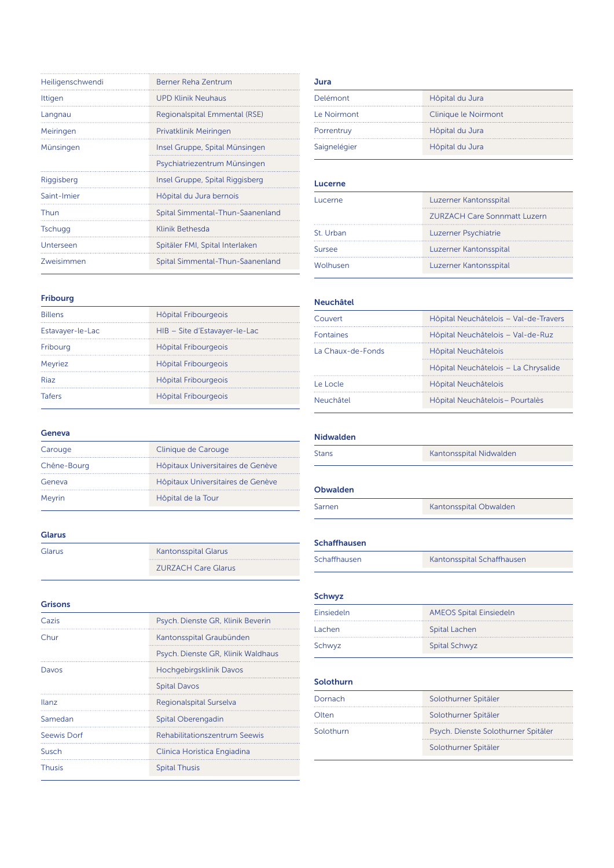| Heiligenschwendi | Berner Reha Zentrum              |
|------------------|----------------------------------|
| Ittigen          | <b>UPD Klinik Neuhaus</b>        |
| Langnau          | Regionalspital Emmental (RSE)    |
| Meiringen        | Privatklinik Meiringen           |
| Münsingen        | Insel Gruppe, Spital Münsingen   |
|                  | Psychiatriezentrum Münsingen     |
| Riggisberg       | Insel Gruppe, Spital Riggisberg  |
| Saint-Imier      | Hôpital du Jura bernois          |
| Thun             | Spital Simmental-Thun-Saanenland |
| <b>Tschugg</b>   | Klinik Bethesda                  |
| Unterseen        | Spitäler FMI, Spital Interlaken  |
| Zweisimmen       | Spital Simmental-Thun-Saanenland |

## Fribourg

| <b>Billens</b>   | Hôpital Fribourgeois          |
|------------------|-------------------------------|
| Estavayer-le-Lac | HIB - Site d'Estavayer-le-Lac |
| Fribourg         | Hôpital Fribourgeois          |
| Meyriez          | Hôpital Fribourgeois          |
| <b>Riaz</b>      | Hôpital Fribourgeois          |
| <b>Tafers</b>    | Hôpital Fribourgeois          |
|                  |                               |

# Geneva

| Carouge     | Clinique de Carouge               |
|-------------|-----------------------------------|
| Chêne-Bourg | Hôpitaux Universitaires de Genève |
| Geneva      | Hôpitaux Universitaires de Genève |
| Meyrin      | Hôpital de la Tour                |
|             |                                   |

# Glarus

| Glarus | <b>Kantonsspital Glarus</b> |
|--------|-----------------------------|
|        | <b>ZURZACH Care Glarus</b>  |

## Grisons

| Cazis         | Psych. Dienste GR, Klinik Beverin  |
|---------------|------------------------------------|
| Chur          | Kantonsspital Graubünden           |
|               | Psych. Dienste GR, Klinik Waldhaus |
| Davos         | Hochgebirgsklinik Davos            |
|               | <b>Spital Davos</b>                |
| llanz         | Regionalspital Surselva            |
| Samedan       | Spital Oberengadin                 |
| Seewis Dorf   | Rehabilitationszentrum Seewis      |
| Susch         | Clinica Horistica Engiadina        |
| <b>Thusis</b> | <b>Spital Thusis</b>               |
|               |                                    |

#### Jura

| Delémont     | Hôpital du Jura      |
|--------------|----------------------|
| Le Noirmont  | Clinique le Noirmont |
| Porrentruy   | Hôpital du Jura      |
| Saignelégier | Hôpital du Jura      |
|              |                      |

# Lucerne

| Lucerne   | Luzerner Kantonsspital              |
|-----------|-------------------------------------|
|           | <b>ZURZACH Care Sonnmatt Luzern</b> |
| St. Urban | Luzerner Psychiatrie                |
| Sursee    | Luzerner Kantonsspital              |
| Wolhusen  | Luzerner Kantonsspital              |
|           |                                     |

## Neuchâtel

| Hôpital Neuchâtelois - Val-de-Travers |
|---------------------------------------|
| Hôpital Neuchâtelois - Val-de-Ruz     |
| Hôpital Neuchâtelois                  |
| Hôpital Neuchâtelois - La Chrysalide  |
| Hôpital Neuchâtelois                  |
| Hôpital Neuchâtelois – Pourtalès      |
|                                       |

#### Nidwalden

| <b>Stans</b> | Kantonsspital Nidwalden |
|--------------|-------------------------|
|--------------|-------------------------|

## Obwalden

| Sarnen | Kantonsspital Obwalden |
|--------|------------------------|
|        |                        |

#### Schaffhausen

| Schaffhausen | Kantonsspital Schaffhausen |
|--------------|----------------------------|
|              |                            |

# Schwyz

| Einsiedeln | <b>AMEOS Spital Einsiedeln</b> |
|------------|--------------------------------|
| Lachen     | Spital Lachen                  |
| Schwyz     | <b>Spital Schwyz</b>           |
|            |                                |

# Solothurn

| Dornach   | Solothurner Spitäler                |
|-----------|-------------------------------------|
| Olten     | Solothurner Spitäler                |
| Solothurn | Psych. Dienste Solothurner Spitäler |
|           | Solothurner Spitäler                |
|           |                                     |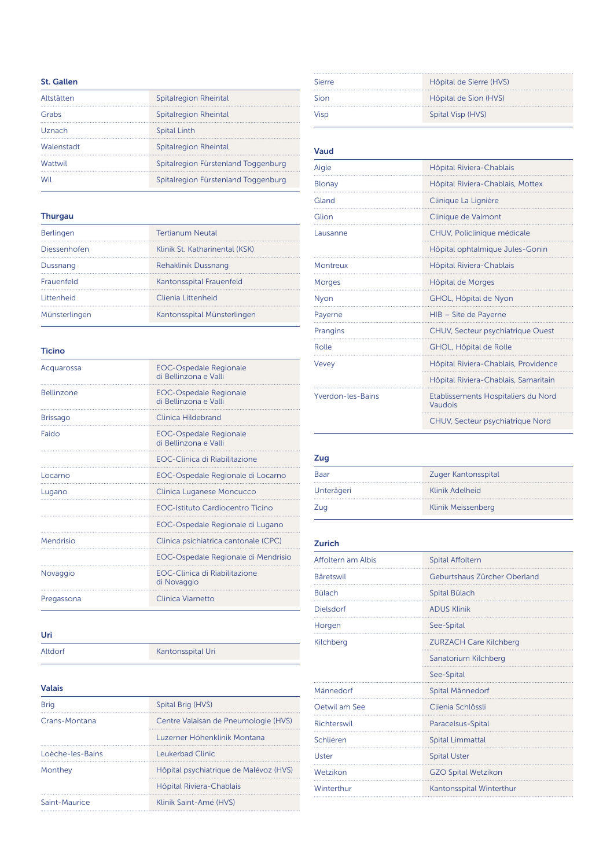## St. Gallen

| Altstätten | Spitalregion Rheintal               |
|------------|-------------------------------------|
| Grabs      | Spitalregion Rheintal               |
| Uznach     | <b>Spital Linth</b>                 |
| Walenstadt | Spitalregion Rheintal               |
| Wattwil    | Spitalregion Fürstenland Toggenburg |
| Wil        | Spitalregion Fürstenland Toggenburg |
|            |                                     |

#### Thurgau

| Berlingen     | <b>Tertianum Neutal</b>        |
|---------------|--------------------------------|
| Diessenhofen  | Klinik St. Katharinental (KSK) |
| Dussnang      | Rehaklinik Dussnang            |
| Frauenfeld    | Kantonsspital Frauenfeld       |
| Littenheid    | Clienia Littenheid             |
| Münsterlingen | Kantonsspital Münsterlingen    |
|               |                                |

## Ticino

| Acquarossa        | <b>EOC-Ospedale Regionale</b><br>di Bellinzona e Valli |
|-------------------|--------------------------------------------------------|
| <b>Bellinzone</b> | <b>EOC-Ospedale Regionale</b><br>di Bellinzona e Valli |
| <b>Brissago</b>   | Clinica Hildebrand                                     |
| Faido             | <b>EOC-Ospedale Regionale</b><br>di Bellinzona e Valli |
|                   | <b>FOC-Clinica di Riabilitazione</b>                   |
| Locarno           | EOC-Ospedale Regionale di Locarno                      |
| Lugano            | Clinica Luganese Moncucco                              |
|                   | <b>EOC-Istituto Cardiocentro Ticino</b>                |
|                   | EOC-Ospedale Regionale di Lugano                       |
| Mendrisio         | Clinica psichiatrica cantonale (CPC)                   |
|                   | EOC-Ospedale Regionale di Mendrisio                    |
| Novaggio          | EOC-Clinica di Riabilitazione<br>di Novaggio           |
| Pregassona        | Clinica Viarnetto                                      |

# Uri

Altdorf Kantonsspital Uri

# Valais

| Spital Brig (HVS)                      |
|----------------------------------------|
| Centre Valaisan de Pneumologie (HVS)   |
| Luzerner Höhenklinik Montana           |
| Leukerbad Clinic                       |
| Hôpital psychiatrique de Malévoz (HVS) |
| Hôpital Riviera-Chablais               |
| Klinik Saint-Amé (HVS)                 |
|                                        |

| <b>Sierre</b> | Hôpital de Sierre (HVS) |
|---------------|-------------------------|
| Sion          | Hôpital de Sion (HVS)   |
| Visp          | Spital Visp (HVS)       |
|               |                         |

#### Vaud

| Aigle             | Hôpital Riviera-Chablais                       |
|-------------------|------------------------------------------------|
| <b>Blonay</b>     | Hôpital Riviera-Chablais, Mottex               |
| Gland             | Clinique La Lignière                           |
| Glion             | Clinique de Valmont                            |
| Lausanne          | CHUV, Policlinique médicale                    |
|                   | Hôpital ophtalmique Jules-Gonin                |
| Montreux          | Hôpital Riviera-Chablais                       |
| <b>Morges</b>     | Hôpital de Morges                              |
| <b>Nyon</b>       | GHOL, Hôpital de Nyon                          |
| Payerne           | HIB - Site de Payerne                          |
| Prangins          | CHUV, Secteur psychiatrique Ouest              |
| Rolle             | GHOL, Hôpital de Rolle                         |
| Vevey             | Hôpital Riviera-Chablais, Providence           |
|                   | Hôpital Riviera-Chablais, Samaritain           |
| Yverdon-les-Bains | Etablissements Hospitaliers du Nord<br>Vaudois |
|                   | CHUV, Secteur psychiatrique Nord               |

# Zug

| Baar       | Zuger Kantonsspital |
|------------|---------------------|
| Unterägeri | Klinik Adelheid     |
| Zug        | Klinik Meissenberg  |
|            |                     |

#### Zurich

| Affoltern am Albis | <b>Spital Affoltern</b>       |
|--------------------|-------------------------------|
| Bäretswil          | Geburtshaus Zürcher Oberland  |
| <b>Bülach</b>      | Spital Bülach                 |
| Dielsdorf          | <b>ADUS Klinik</b>            |
| Horgen             | See-Spital                    |
| Kilchberg          | <b>ZURZACH Care Kilchberg</b> |
|                    | Sanatorium Kilchberg          |
|                    | See-Spital                    |
| Männedorf          | Spital Männedorf              |
| Oetwil am See      | Clienia Schlössli             |
| Richterswil        | Paracelsus-Spital             |
| Schlieren          | <b>Spital Limmattal</b>       |
| Uster              | <b>Spital Uster</b>           |
| Wetzikon           | <b>GZO Spital Wetzikon</b>    |
| Winterthur         | Kantonsspital Winterthur      |